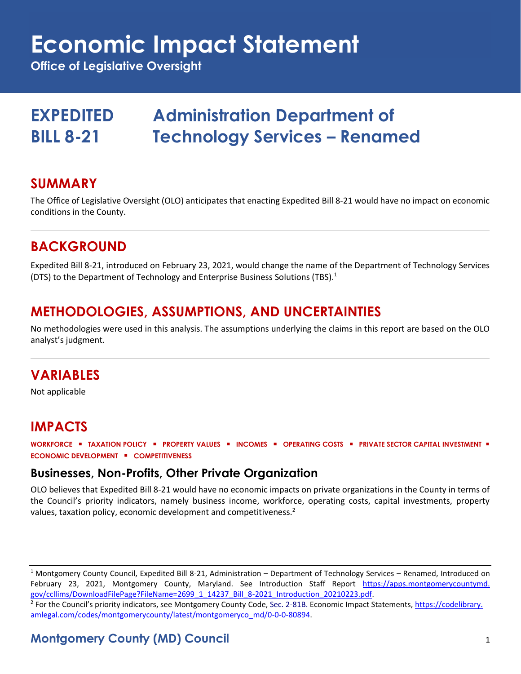# **Economic Impact Statement**

**Office of Legislative Oversight**

## **EXPEDITED Administration Department of BILL 8-21 Technology Services – Renamed**

#### **SUMMARY**

The Office of Legislative Oversight (OLO) anticipates that enacting Expedited Bill 8-21 would have no impact on economic conditions in the County.

#### **BACKGROUND**

Expedited Bill 8-21, introduced on February 23, 2021, would change the name of the Department of Technology Services (DTS) to the Department of Technology and Enterprise Business Solutions (TBS).<sup>1</sup>

#### **METHODOLOGIES, ASSUMPTIONS, AND UNCERTAINTIES**

No methodologies were used in this analysis. The assumptions underlying the claims in this report are based on the OLO analyst's judgment.

#### **VARIABLES**

Not applicable

#### **IMPACTS**

**WORKFORCE** ▪ **TAXATION POLICY** ▪ **PROPERTY VALUES** ▪ **INCOMES** ▪ **OPERATING COSTS** ▪ **PRIVATE SECTOR CAPITAL INVESTMENT** ▪ **ECONOMIC DEVELOPMENT** ▪ **COMPETITIVENESS**

#### **Businesses, Non-Profits, Other Private Organization**

OLO believes that Expedited Bill 8-21 would have no economic impacts on private organizations in the County in terms of the Council's priority indicators, namely business income, workforce, operating costs, capital investments, property values, taxation policy, economic development and competitiveness.<sup>2</sup>

<sup>1</sup> Montgomery County Council, Expedited Bill 8-21, Administration – Department of Technology Services – Renamed, Introduced on February 23, 2021, Montgomery County, Maryland. See Introduction Staff Report [https://apps.montgomerycountymd.](https://apps.montgomerycountymd.gov/ccllims/DownloadFilePage?FileName=2699_1_14237_Bill_8-2021_Introduction_20210223.pdf) [gov/ccllims/DownloadFilePage?FileName=2699\\_1\\_14237\\_Bill\\_8-2021\\_Introduction\\_20210223.pdf.](https://apps.montgomerycountymd.gov/ccllims/DownloadFilePage?FileName=2699_1_14237_Bill_8-2021_Introduction_20210223.pdf) 

<sup>2</sup> For the Council's priority indicators, see Montgomery County Code, Sec. 2-81B. Economic Impact Statements, <u>https://codelibrary.</u> [amlegal.com/codes/montgomerycounty/latest/montgomeryco\\_md/0-0-0-80894.](https://codelibrary.amlegal.com/codes/montgomerycounty/latest/montgomeryco_md/0-0-0-80894)

#### **Montgomery County (MD) Council** 1